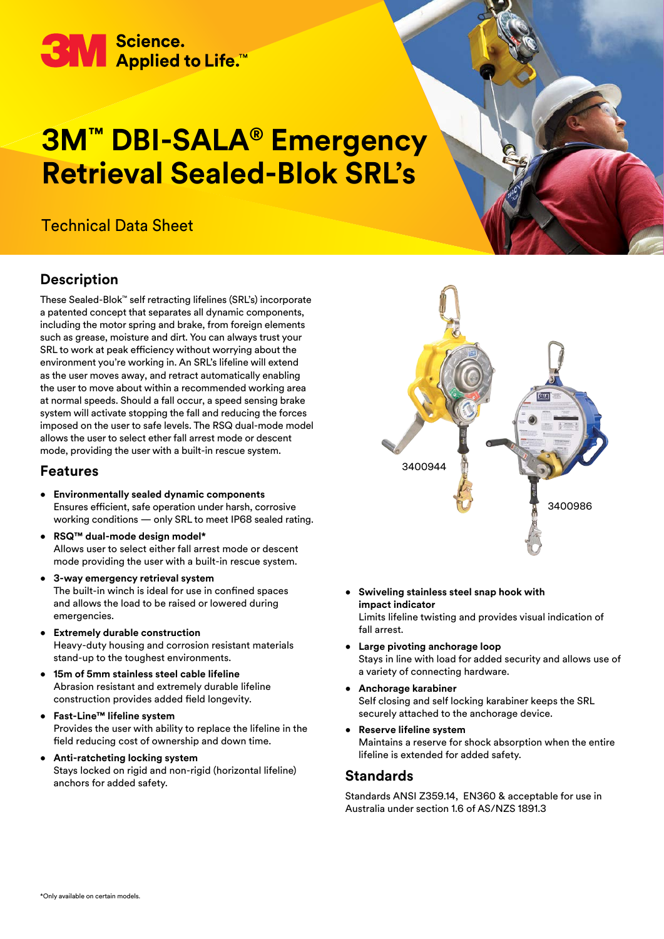

# **3M™ DBI-SALA® Emergency Retrieval Sealed-Blok SRL's**

# Technical Data Sheet

#### **Description**

These Sealed-Blok™ self retracting lifelines (SRL's) incorporate a patented concept that separates all dynamic components, including the motor spring and brake, from foreign elements such as grease, moisture and dirt. You can always trust your SRL to work at peak efficiency without worrying about the environment you're working in. An SRL's lifeline will extend as the user moves away, and retract automatically enabling the user to move about within a recommended working area at normal speeds. Should a fall occur, a speed sensing brake system will activate stopping the fall and reducing the forces imposed on the user to safe levels. The RSQ dual-mode model allows the user to select ether fall arrest mode or descent mode, providing the user with a built-in rescue system.

#### **Features**

- **Environmentally sealed dynamic components** Ensures efficient, safe operation under harsh, corrosive working conditions — only SRL to meet IP68 sealed rating.
- **RSQ™ dual-mode design model\*** Allows user to select either fall arrest mode or descent mode providing the user with a built-in rescue system.
- **3-way emergency retrieval system** The built-in winch is ideal for use in confined spaces and allows the load to be raised or lowered during emergencies.
- **Extremely durable construction** Heavy-duty housing and corrosion resistant materials stand-up to the toughest environments.
- **15m of 5mm stainless steel cable lifeline** Abrasion resistant and extremely durable lifeline construction provides added field longevity.
- **Fast-Line™ lifeline system** Provides the user with ability to replace the lifeline in the field reducing cost of ownership and down time.
- **Anti-ratcheting locking system** Stays locked on rigid and non-rigid (horizontal lifeline) anchors for added safety.



• **Swiveling stainless steel snap hook with impact indicator** Limits lifeline twisting and provides visual indication of

fall arrest.

- **Large pivoting anchorage loop** Stays in line with load for added security and allows use of a variety of connecting hardware.
- **Anchorage karabiner** Self closing and self locking karabiner keeps the SRL securely attached to the anchorage device.
- **Reserve lifeline system** Maintains a reserve for shock absorption when the entire lifeline is extended for added safety.

#### **Standards**

Standards ANSI Z359.14, EN360 & acceptable for use in Australia under section 1.6 of AS/NZS 1891.3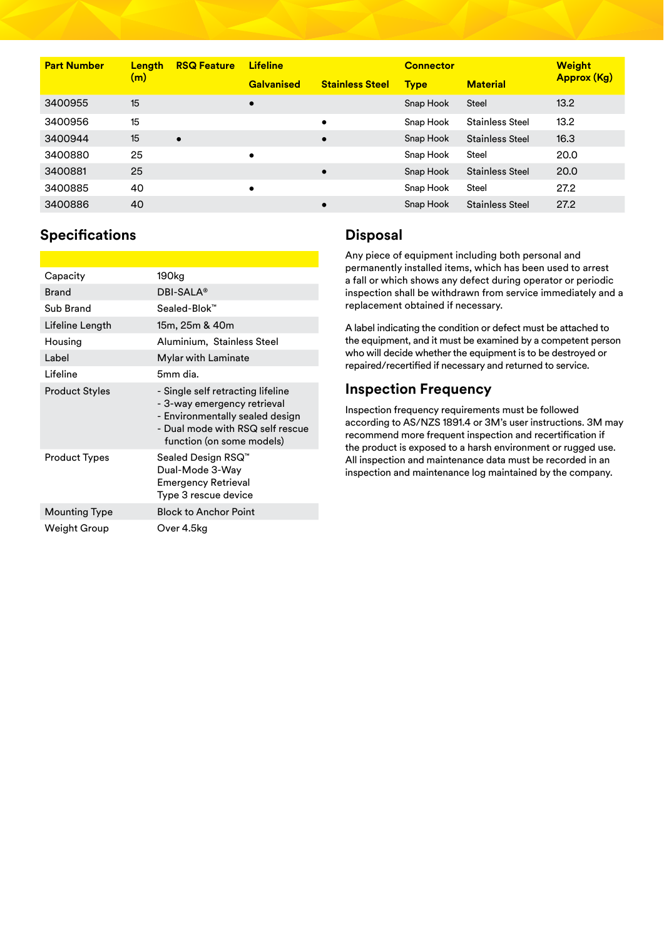| <b>Part Number</b> | Length<br>(m) | <b>RSQ Feature</b> | <b>Lifeline</b><br><b>Galvanised</b> | <b>Stainless Steel</b> | <b>Connector</b><br><b>Type</b> | <b>Material</b>        | <b>Weight</b><br>Approx (Kg) |
|--------------------|---------------|--------------------|--------------------------------------|------------------------|---------------------------------|------------------------|------------------------------|
| 3400955            | 15            |                    | $\bullet$                            |                        | Snap Hook                       | <b>Steel</b>           | 13.2                         |
| 3400956            | 15            |                    |                                      | $\bullet$              | Snap Hook                       | <b>Stainless Steel</b> | 13.2                         |
| 3400944            | 15            | $\bullet$          |                                      | $\bullet$              | Snap Hook                       | <b>Stainless Steel</b> | 16.3                         |
| 3400880            | 25            |                    | $\bullet$                            |                        | Snap Hook                       | Steel                  | 20.0                         |
| 3400881            | 25            |                    |                                      | $\bullet$              | Snap Hook                       | <b>Stainless Steel</b> | 20.0                         |
| 3400885            | 40            |                    | $\bullet$                            |                        | Snap Hook                       | Steel                  | 27.2                         |
| 3400886            | 40            |                    |                                      | $\bullet$              | Snap Hook                       | <b>Stainless Steel</b> | 27.2                         |

## **Specifications**

| Capacity              | 190kg                                                                                                                                                                |  |  |
|-----------------------|----------------------------------------------------------------------------------------------------------------------------------------------------------------------|--|--|
| <b>Brand</b>          | DBI-SALA <sup>®</sup>                                                                                                                                                |  |  |
| Sub Brand             | Sealed-Blok™                                                                                                                                                         |  |  |
| Lifeline Length       | 15m, 25m & 40m                                                                                                                                                       |  |  |
| Housing               | Aluminium, Stainless Steel                                                                                                                                           |  |  |
| Label                 | Mylar with Laminate                                                                                                                                                  |  |  |
| Lifeline              | 5mm dia.                                                                                                                                                             |  |  |
| <b>Product Styles</b> | - Single self retracting lifeline<br>- 3-way emergency retrieval<br>- Environmentally sealed design<br>- Dual mode with RSQ self rescue<br>function (on some models) |  |  |
| <b>Product Types</b>  | Sealed Design RSQ™<br>Dual-Mode 3-Way<br><b>Emergency Retrieval</b><br>Type 3 rescue device                                                                          |  |  |
| <b>Mounting Type</b>  | <b>Block to Anchor Point</b>                                                                                                                                         |  |  |
| Weight Group          | Over 4.5kg                                                                                                                                                           |  |  |

## **Disposal**

Any piece of equipment including both personal and permanently installed items, which has been used to arrest a fall or which shows any defect during operator or periodic inspection shall be withdrawn from service immediately and a replacement obtained if necessary.

A label indicating the condition or defect must be attached to the equipment, and it must be examined by a competent person who will decide whether the equipment is to be destroyed or repaired/recertified if necessary and returned to service.

# **Inspection Frequency**

Inspection frequency requirements must be followed according to AS/NZS 1891.4 or 3M's user instructions. 3M may recommend more frequent inspection and recertification if the product is exposed to a harsh environment or rugged use. All inspection and maintenance data must be recorded in an inspection and maintenance log maintained by the company.